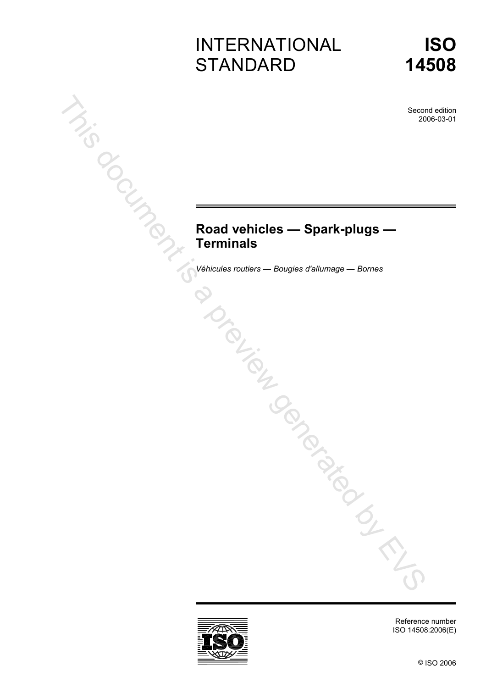# INTERNATIONAL



Second edition 2006-03-01

# STANDARD **Road vehicles — Spark-plugs — Terminals**  This document is a preview generated by EVS

*Véhicules routiers — Bougies d'allumage — Bornes* 



Reference number ISO 14508:2006(E)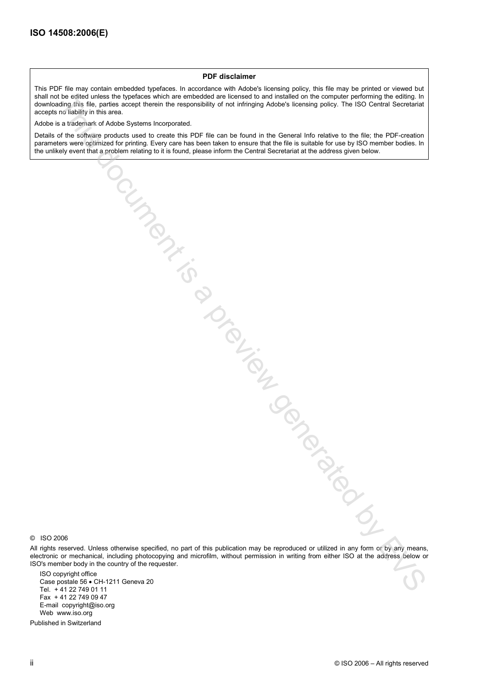### **PDF disclaimer**

This PDF file may contain embedded typefaces. In accordance with Adobe's licensing policy, this file may be printed or viewed but shall not be edited unless the typefaces which are embedded are licensed to and installed on the computer performing the editing. In downloading this file, parties accept therein the responsibility of not infringing Adobe's licensing policy. The ISO Central Secretariat accepts no liability in this area.

Adobe is a trademark of Adobe Systems Incorporated.

Details of the software products used to create this PDF file can be found in the General Info relative to the file; the PDF-creation parameters were optimized for printing. Every care has been taken to ensure that the file is suitable for use by ISO member bodies. In the unlikely event that a problem relating to it is found, please inform the Central Secretariat at the address given below. The sum of the control of the street of the street of the street of the street of the street of the street of the street of the street of the street of the street of the street of the street of the street of the street of

© ISO 2006

All rights reserved. Unless otherwise specified, no part of this publication may be reproduced or utilized in any form or by any means, electronic or mechanical, including photocopying and microfilm, without permission in writing from either ISO at the address below or ISO's member body in the country of the requester.

ISO copyright office Case postale 56 • CH-1211 Geneva 20 Tel. + 41 22 749 01 11 Fax + 41 22 749 09 47 E-mail copyright@iso.org Web www.iso.org

Published in Switzerland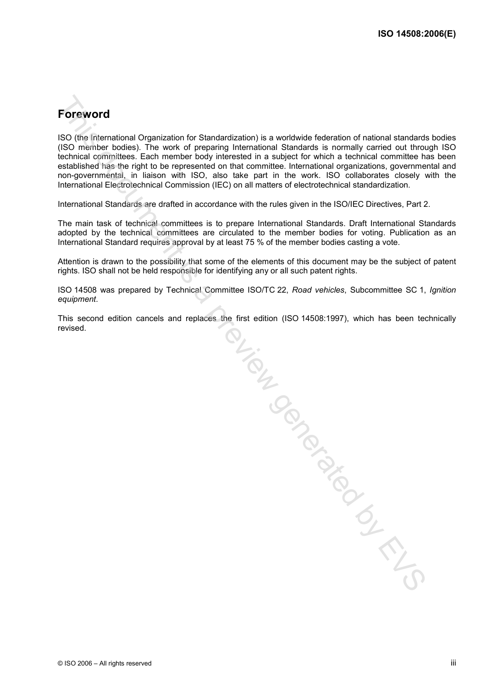# **Foreword**

ISO (the International Organization for Standardization) is a worldwide federation of national standards bodies (ISO member bodies). The work of preparing International Standards is normally carried out through ISO technical committees. Each member body interested in a subject for which a technical committee has been established has the right to be represented on that committee. International organizations, governmental and non-governmental, in liaison with ISO, also take part in the work. ISO collaborates closely with the International Electrotechnical Commission (IEC) on all matters of electrotechnical standardization.

International Standards are drafted in accordance with the rules given in the ISO/IEC Directives, Part 2.

The main task of technical committees is to prepare International Standards. Draft International Standards adopted by the technical committees are circulated to the member bodies for voting. Publication as an International Standard requires approval by at least 75 % of the member bodies casting a vote.

Attention is drawn to the possibility that some of the elements of this document may be the subject of patent rights. ISO shall not be held responsible for identifying any or all such patent rights.

ISO 14508 was prepared by Technical Committee ISO/TC 22, *Road vehicles*, Subcommittee SC 1, *Ignition equipment*.

This second edition cancels and replaces the first edition (ISO 14508:1997), which has been technically revised.

First Contraction of the Previous Creek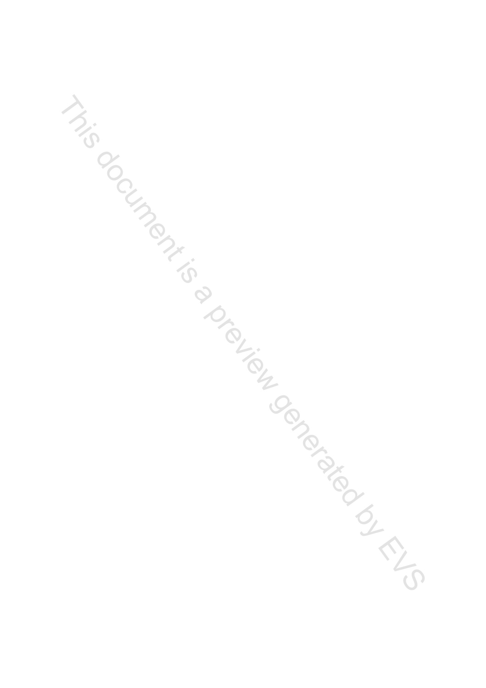This document is a preview generation by EV Data